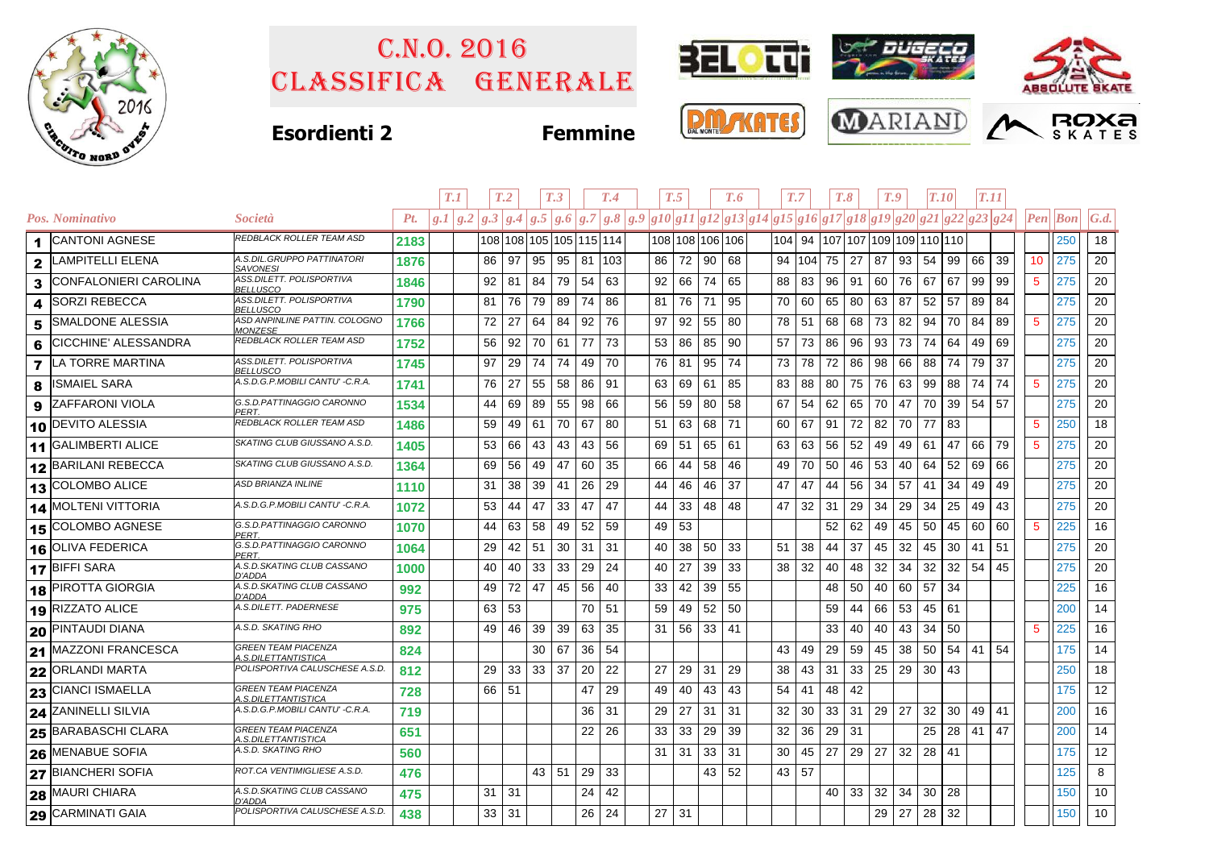

## Classifica generale C.n.o. 2016



## **Esordienti 2 Femmine**







|                |                             |                                                           |      | T.1                                                                                               |    | T <sub>.2</sub> |                 | T <sub>.3</sub>         |          | T.4 |    | T.5 |                 | T.6 |    | T.7      |                                | $T_{\cdot}8$ | T.9 |    | <b>T.10</b> |    | T.11 |    |             |                                         |              |
|----------------|-----------------------------|-----------------------------------------------------------|------|---------------------------------------------------------------------------------------------------|----|-----------------|-----------------|-------------------------|----------|-----|----|-----|-----------------|-----|----|----------|--------------------------------|--------------|-----|----|-------------|----|------|----|-------------|-----------------------------------------|--------------|
|                | Pos. Nominativo             | <i>Società</i>                                            | Pt.  | $g.1 g.2 g.3 g.4 g.5 g.6 g.7 g.8 g.9 g10 g11 g12 g13 g14 g15 g16 g17 g18 g19 g20 g21 g22 g23 g24$ |    |                 |                 |                         |          |     |    |     |                 |     |    |          |                                |              |     |    |             |    |      |    |             | $\left  Pen\right $ $\left  Bon\right $ | $\vert G.d.$ |
|                | 1 CANTONI AGNESE            | REDBLACK ROLLER TEAM ASD                                  | 2183 |                                                                                                   |    |                 |                 | 108 108 105 105 115 114 |          |     |    |     | 108 108 106 106 |     |    |          | 104 94 107 107 109 109 110 110 |              |     |    |             |    |      |    |             | 250                                     | 18           |
| $\mathbf{2}$   | LAMPITELLI ELENA            | A.S.DIL.GRUPPO PATTINATORI<br><b>SAVONESI</b>             | 1876 |                                                                                                   | 86 | 97              | 95              | 95                      | 81   103 |     | 86 |     | 72 90           | 68  |    | 94   104 | 75                             | 27           | 87  | 93 | 54          | 99 | 66   | 39 | 10          | 275                                     | 20           |
| 3              | CONFALONIERI CAROLINA       | ASS.DILETT. POLISPORTIVA<br><b>BELLUSCO</b>               | 1846 |                                                                                                   | 92 | 81              | 84              | 79                      | 54       | 63  | 92 | 66  | 74              | 65  | 88 | 83       | 96                             | 91           | 60  | 76 | 67          | 67 | 99   | 99 | $5^{\circ}$ | 275                                     | 20           |
| 4              | <b>SORZI REBECCA</b>        | ASS.DILETT. POLISPORTIVA<br>BELLUSCO                      | 1790 |                                                                                                   | 81 | 76              | 79              | 89                      | 74       | 86  | 81 | 76  | 71              | 95  | 70 | 60       | 65                             | 80           | 63  | 87 | 52          | 57 | 89   | 84 |             | 275                                     | 20           |
| 5              | <b>SMALDONE ALESSIA</b>     | ASD ANPINLINE PATTIN. COLOGNO<br><b>MONZESE</b>           | 1766 |                                                                                                   | 72 | 27              | 64              | 84                      | 92       | 76  | 97 | 92  | 55              | 80  | 78 | 51       | 68                             | 68           | 73  | 82 | 94          | 70 | 84   | 89 | $\sqrt{5}$  | 275                                     | 20           |
| 6              | <b>CICCHINE' ALESSANDRA</b> | REDBLACK ROLLER TEAM ASD                                  | 1752 |                                                                                                   | 56 | 92              | 70              | 61                      | 77       | 73  | 53 | 86  | 85              | 90  | 57 | 73       | 86                             | 96           | 93  | 73 | 74          | 64 | 49   | 69 |             | 275                                     | 20           |
| $\overline{7}$ | <b>LA TORRE MARTINA</b>     | ASS.DILETT. POLISPORTIVA<br><b>BELLUSCO</b>               | 1745 |                                                                                                   | 97 | 29              | 74              | 74                      | 49       | 70  | 76 | 81  | 95              | 74  | 73 | 78       | 72                             | 86           | 98  | 66 | 88          | 74 | 79   | 37 |             | 275                                     | 20           |
| 8              | <b>ISMAIEL SARA</b>         | A.S.D.G.P.MOBILI CANTU' -C.R.A.                           | 1741 |                                                                                                   | 76 | 27              | 55              | 58                      | 86       | 91  | 63 | 69  | 61              | 85  | 83 | 88       | 80                             | 75           | 76  | 63 | 99          | 88 | 74   | 74 | $\sqrt{5}$  | 275                                     | 20           |
| 9              | <b>IZAFFARONI VIOLA</b>     | G.S.D.PATTINAGGIO CARONNO<br>PERT.                        | 1534 |                                                                                                   | 44 | 69              | 89              | 55                      | 98       | 66  | 56 | 59  | 80              | 58  | 67 | 54       | 62                             | 65           | 70  | 47 | 70          | 39 | 54   | 57 |             | 275                                     | 20           |
|                | 10 DEVITO ALESSIA           | REDBLACK ROLLER TEAM ASD                                  | 1486 |                                                                                                   | 59 | 49              | 61              | 70                      | 67       | 80  | 51 | 63  | 68              | 71  | 60 | 67       | 91                             | 72           | 82  | 70 | 77          | 83 |      |    | $\sqrt{5}$  | 250                                     | 18           |
|                | 11 GALIMBERTI ALICE         | SKATING CLUB GIUSSANO A.S.D.                              | 1405 |                                                                                                   | 53 | 66              | 43              | 43                      | 43       | 56  | 69 | 51  | 65              | 61  | 63 | 63       | 56                             | 52           | 49  | 49 | 61          | 47 | 66   | 79 | $\sqrt{5}$  | 275                                     | 20           |
|                | 12 BARILANI REBECCA         | SKATING CLUB GIUSSANO A.S.D.                              | 1364 |                                                                                                   | 69 | 56              | 49              | 47                      | 60       | 35  | 66 | 44  | 58              | 46  | 49 | 70       | 50                             | 46           | 53  | 40 | 64          | 52 | 69   | 66 |             | 275                                     | 20           |
|                | 13 COLOMBO ALICE            | <b>ASD BRIANZA INLINE</b>                                 | 1110 |                                                                                                   | 31 | 38              | 39              | 41                      | 26       | 29  | 44 | 46  | 46              | 37  | 47 | 47       | 44                             | 56           | 34  | 57 | 41          | 34 | 49   | 49 |             | 275                                     | 20           |
|                | 14 MOLTENI VITTORIA         | A.S.D.G.P.MOBILI CANTU' -C.R.A.                           | 1072 |                                                                                                   | 53 | 44              | 47              | 33                      | 47       | 47  | 44 | 33  | 48              | 48  | 47 | 32       | 31                             | 29           | 34  | 29 | 34          | 25 | 49   | 43 |             | 275                                     | 20           |
|                | 15 COLOMBO AGNESE           | G.S.D.PATTINAGGIO CARONNO<br>PERT.                        | 1070 |                                                                                                   | 44 | 63              | 58              | 49                      | 52       | 59  | 49 | 53  |                 |     |    |          | 52                             | 62           | 49  | 45 | 50          | 45 | 60   | 60 | $\sqrt{5}$  | 225                                     | 16           |
|                | 16 OLIVA FEDERICA           | G.S.D.PATTINAGGIO CARONNO<br>PERT.                        | 1064 |                                                                                                   | 29 | 42              | 51              | 30                      | 31       | 31  | 40 | 38  | 50              | 33  | 51 | 38       | 44                             | 37           | 45  | 32 | 45          | 30 | 41   | 51 |             | 275                                     | 20           |
|                | 17 BIFFI SARA               | A.S.D.SKATING CLUB CASSANO<br>D'ADDA                      | 1000 |                                                                                                   | 40 | 40              | 33              | 33                      | 29       | 24  | 40 | 27  | 39              | 33  | 38 | 32       | 40                             | 48           | 32  | 34 | 32          | 32 | 54   | 45 |             | 275                                     | 20           |
|                | 18 PIROTTA GIORGIA          | A.S.D.SKATING CLUB CASSANO<br>D'ADDA                      | 992  |                                                                                                   | 49 | 72              | 47              | 45                      | 56       | 40  | 33 | 42  | 39              | 55  |    |          | 48                             | 50           | 40  | 60 | 57          | 34 |      |    |             | 225                                     | 16           |
|                | 19 RIZZATO ALICE            | A.S.DILETT. PADERNESE                                     | 975  |                                                                                                   | 63 | 53              |                 |                         | 70       | 51  | 59 | 49  | 52              | 50  |    |          | 59                             | 44           | 66  | 53 | 45          | 61 |      |    |             | 200                                     | 14           |
|                | 20 PINTAUDI DIANA           | A.S.D. SKATING RHO                                        | 892  |                                                                                                   | 49 | 46              | 39              | 39                      | 63       | 35  | 31 |     | 56 33 41        |     |    |          | 33                             | 40           | 40  | 43 | 34          | 50 |      |    | 5           | 225                                     | 16           |
|                | 21 MAZZONI FRANCESCA        | <b>GREEN TEAM PIACENZA</b><br>A.S.DILETTANTISTICA         | 824  |                                                                                                   |    |                 | 30              | 67                      | 36       | 54  |    |     |                 |     | 43 | 49       | 29                             | 59           | 45  | 38 | 50          | 54 | 41   | 54 |             | 175                                     | 14           |
|                | 22 ORLANDI MARTA            | POLISPORTIVA CALUSCHESE A.S.D.                            | 812  |                                                                                                   | 29 | 33              | 33 <sup>1</sup> | 37                      | 20       | 22  | 27 | 29  | 31              | 29  | 38 | 43       | 31                             | 33           | 25  | 29 | 30          | 43 |      |    |             | 250                                     | 18           |
|                | 23 CIANCI ISMAELLA          | <b>GREEN TEAM PIACENZA</b><br>A.S.DILETTANTISTICA         | 728  |                                                                                                   | 66 | -51             |                 |                         | 47       | 29  | 49 | 40  | 43              | 43  | 54 | 41       | 48                             | 42           |     |    |             |    |      |    |             | 175                                     | 12           |
|                | 24 ZANINELLI SILVIA         | A.S.D.G.P.MOBILI CANTU' - C.R.A.                          | 719  |                                                                                                   |    |                 |                 |                         | 36       | 31  | 29 | 27  | 31              | 31  | 32 | 30       | 33                             | 31           | 29  | 27 | 32          | 30 | 49   | 41 |             | 200                                     | 16           |
|                | 25 BARABASCHI CLARA         | <b>GREEN TEAM PIACENZA</b><br><u> 4.S.DILETTANTISTICA</u> | 651  |                                                                                                   |    |                 |                 |                         | 22       | 26  | 33 | 33  | 29              | 39  | 32 | 36       | 29                             | 31           |     |    | 25          | 28 | 41   | 47 |             | 200                                     | 14           |
|                | 26 MENABUE SOFIA            | A.S.D. SKATING RHO                                        | 560  |                                                                                                   |    |                 |                 |                         |          |     | 31 | 31  | 33              | 31  | 30 | 45       | 27                             | 29           | 27  | 32 | 28          | 41 |      |    |             | 175                                     | 12           |
|                | 27 BIANCHERI SOFIA          | ROT.CA VENTIMIGLIESE A.S.D.                               | 476  |                                                                                                   |    |                 | 43 51           |                         | 29       | 33  |    |     | 43   52         |     |    | 43 57    |                                |              |     |    |             |    |      |    |             | 125                                     | 8            |
|                | 28 MAURI CHIARA             | A.S.D.SKATING CLUB CASSANO<br>D'ADDA                      | 475  |                                                                                                   | 31 | 31              |                 |                         | 24       | 42  |    |     |                 |     |    |          | 40                             | 33           | 32  | 34 | 30          | 28 |      |    |             | 150                                     | 10           |
|                | 29 CARMINATI GAIA           | POLISPORTIVA CALUSCHESE A.S.D.                            | 438  |                                                                                                   | 33 | 31              |                 |                         | 26       | 24  | 27 | 31  |                 |     |    |          |                                |              | 29  | 27 | 28          | 32 |      |    |             | 150                                     | 10           |
|                |                             |                                                           |      |                                                                                                   |    |                 |                 |                         |          |     |    |     |                 |     |    |          |                                |              |     |    |             |    |      |    |             |                                         |              |